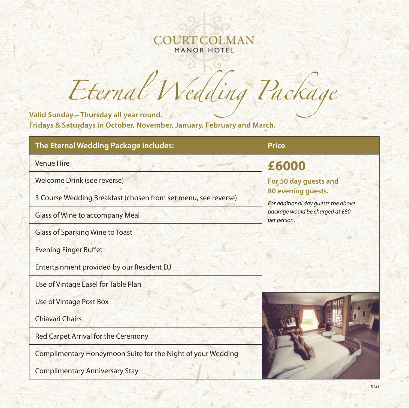# COURTCOLMAN MANOR HOTEL

*Eternal Wedding Packag<sup>e</sup>*

**Valid Sunday – Thursday all year round. Fridays & Saturdays in October, November, January, February and March.**

| The Eternal Wedding Package includes:                          | <b>Price</b>                                                                                                                         |
|----------------------------------------------------------------|--------------------------------------------------------------------------------------------------------------------------------------|
| <b>Venue Hire</b>                                              | £6000                                                                                                                                |
| Welcome Drink (see reverse)                                    | For 50 day guests and<br>80 evening guests.<br>For additional day quests the above<br>package would be charged at £80<br>per person. |
| 3 Course Wedding Breakfast (chosen from set menu, see reverse) |                                                                                                                                      |
| <b>Glass of Wine to accompany Meal</b>                         |                                                                                                                                      |
| <b>Glass of Sparking Wine to Toast</b>                         |                                                                                                                                      |
| <b>Evening Finger Buffet</b>                                   |                                                                                                                                      |
| Entertainment provided by our Resident DJ                      |                                                                                                                                      |
| Use of Vintage Easel for Table Plan                            |                                                                                                                                      |
| Use of Vintage Post Box                                        |                                                                                                                                      |
| <b>Chiavari Chairs</b>                                         |                                                                                                                                      |
| <b>Red Carpet Arrival for the Ceremony</b>                     |                                                                                                                                      |
| Complimentary Honeymoon Suite for the Night of your Wedding    |                                                                                                                                      |
| <b>Complimentary Anniversary Stay</b>                          |                                                                                                                                      |